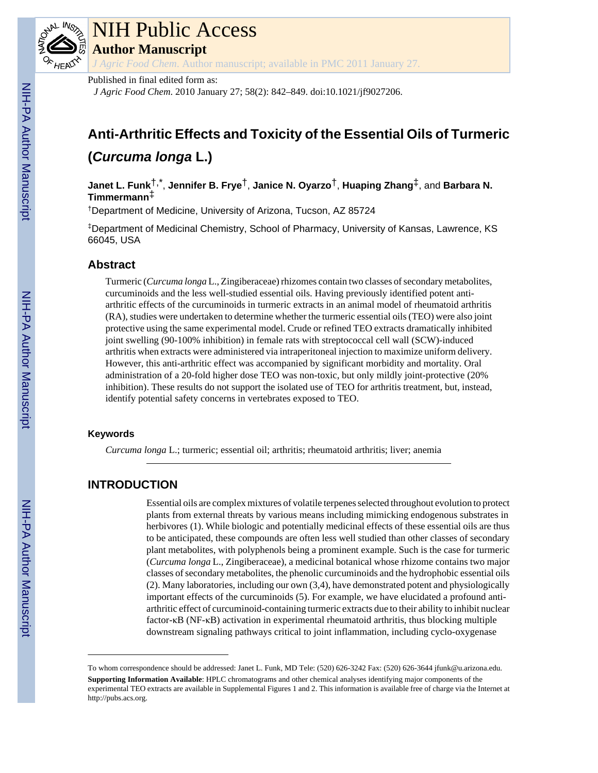

# NIH Public Access

**Author Manuscript**

*J Agric Food Chem*. Author manuscript; available in PMC 2011 January 27.

Published in final edited form as:

*J Agric Food Chem*. 2010 January 27; 58(2): 842–849. doi:10.1021/jf9027206.

# **Anti-Arthritic Effects and Toxicity of the Essential Oils of Turmeric (***Curcuma longa* **L.)**

**Janet L. Funk**†,\* , **Jennifer B. Frye**†, **Janice N. Oyarzo**†, **Huaping Zhang**‡, and **Barbara N. Timmermann**‡

†Department of Medicine, University of Arizona, Tucson, AZ 85724

‡Department of Medicinal Chemistry, School of Pharmacy, University of Kansas, Lawrence, KS 66045, USA

# **Abstract**

Turmeric (*Curcuma longa* L., Zingiberaceae) rhizomes contain two classes of secondary metabolites, curcuminoids and the less well-studied essential oils. Having previously identified potent antiarthritic effects of the curcuminoids in turmeric extracts in an animal model of rheumatoid arthritis (RA), studies were undertaken to determine whether the turmeric essential oils (TEO) were also joint protective using the same experimental model. Crude or refined TEO extracts dramatically inhibited joint swelling (90-100% inhibition) in female rats with streptococcal cell wall (SCW)-induced arthritis when extracts were administered via intraperitoneal injection to maximize uniform delivery. However, this anti-arthritic effect was accompanied by significant morbidity and mortality. Oral administration of a 20-fold higher dose TEO was non-toxic, but only mildly joint-protective (20% inhibition). These results do not support the isolated use of TEO for arthritis treatment, but, instead, identify potential safety concerns in vertebrates exposed to TEO.

# **Keywords**

*Curcuma longa* L.; turmeric; essential oil; arthritis; rheumatoid arthritis; liver; anemia

# **INTRODUCTION**

Essential oils are complex mixtures of volatile terpenes selected throughout evolution to protect plants from external threats by various means including mimicking endogenous substrates in herbivores (1). While biologic and potentially medicinal effects of these essential oils are thus to be anticipated, these compounds are often less well studied than other classes of secondary plant metabolites, with polyphenols being a prominent example. Such is the case for turmeric (*Curcuma longa* L., Zingiberaceae), a medicinal botanical whose rhizome contains two major classes of secondary metabolites, the phenolic curcuminoids and the hydrophobic essential oils (2). Many laboratories, including our own (3,4), have demonstrated potent and physiologically important effects of the curcuminoids (5). For example, we have elucidated a profound antiarthritic effect of curcuminoid-containing turmeric extracts due to their ability to inhibit nuclear factor-κB (NF-κB) activation in experimental rheumatoid arthritis, thus blocking multiple downstream signaling pathways critical to joint inflammation, including cyclo-oxygenase

To whom correspondence should be addressed: Janet L. Funk, MD Tele: (520) 626-3242 Fax: (520) 626-3644 jfunk@u.arizona.edu.

**Supporting Information Available**: HPLC chromatograms and other chemical analyses identifying major components of the experimental TEO extracts are available in Supplemental Figures 1 and 2. This information is available free of charge via the Internet at <http://pubs.acs.org>.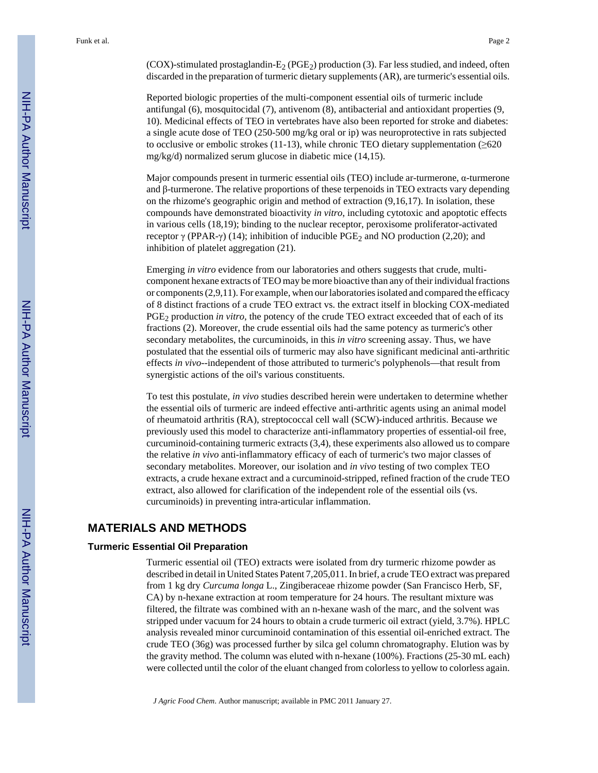$(COX)$ -stimulated prostaglandin-E<sub>2</sub> (PGE<sub>2</sub>) production (3). Far less studied, and indeed, often discarded in the preparation of turmeric dietary supplements (AR), are turmeric's essential oils.

Reported biologic properties of the multi-component essential oils of turmeric include antifungal (6), mosquitocidal (7), antivenom (8), antibacterial and antioxidant properties (9, 10). Medicinal effects of TEO in vertebrates have also been reported for stroke and diabetes: a single acute dose of TEO (250-500 mg/kg oral or ip) was neuroprotective in rats subjected to occlusive or embolic strokes (11-13), while chronic TEO dietary supplementation  $(\geq 620)$ mg/kg/d) normalized serum glucose in diabetic mice (14,15).

Major compounds present in turmeric essential oils (TEO) include ar-turmerone, α-turmerone and β-turmerone. The relative proportions of these terpenoids in TEO extracts vary depending on the rhizome's geographic origin and method of extraction (9,16,17). In isolation, these compounds have demonstrated bioactivity *in vitro*, including cytotoxic and apoptotic effects in various cells (18,19); binding to the nuclear receptor, peroxisome proliferator-activated receptor γ (PPAR-γ) (14); inhibition of inducible PGE<sub>2</sub> and NO production (2,20); and inhibition of platelet aggregation (21).

Emerging *in vitro* evidence from our laboratories and others suggests that crude, multicomponent hexane extracts of TEO may be more bioactive than any of their individual fractions or components (2,9,11). For example, when our laboratories isolated and compared the efficacy of 8 distinct fractions of a crude TEO extract vs. the extract itself in blocking COX-mediated PGE<sub>2</sub> production *in vitro*, the potency of the crude TEO extract exceeded that of each of its fractions (2). Moreover, the crude essential oils had the same potency as turmeric's other secondary metabolites, the curcuminoids, in this *in vitro* screening assay. Thus, we have postulated that the essential oils of turmeric may also have significant medicinal anti-arthritic effects *in vivo*--independent of those attributed to turmeric's polyphenols—that result from synergistic actions of the oil's various constituents.

To test this postulate, *in vivo* studies described herein were undertaken to determine whether the essential oils of turmeric are indeed effective anti-arthritic agents using an animal model of rheumatoid arthritis (RA), streptococcal cell wall (SCW)-induced arthritis. Because we previously used this model to characterize anti-inflammatory properties of essential-oil free, curcuminoid-containing turmeric extracts (3,4), these experiments also allowed us to compare the relative *in vivo* anti-inflammatory efficacy of each of turmeric's two major classes of secondary metabolites. Moreover, our isolation and *in vivo* testing of two complex TEO extracts, a crude hexane extract and a curcuminoid-stripped, refined fraction of the crude TEO extract, also allowed for clarification of the independent role of the essential oils (vs. curcuminoids) in preventing intra-articular inflammation.

### **MATERIALS AND METHODS**

#### **Turmeric Essential Oil Preparation**

Turmeric essential oil (TEO) extracts were isolated from dry turmeric rhizome powder as described in detail in United States Patent 7,205,011. In brief, a crude TEO extract was prepared from 1 kg dry *Curcuma longa* L., Zingiberaceae rhizome powder (San Francisco Herb, SF, CA) by n-hexane extraction at room temperature for 24 hours. The resultant mixture was filtered, the filtrate was combined with an n-hexane wash of the marc, and the solvent was stripped under vacuum for 24 hours to obtain a crude turmeric oil extract (yield, 3.7%). HPLC analysis revealed minor curcuminoid contamination of this essential oil-enriched extract. The crude TEO (36g) was processed further by silca gel column chromatography. Elution was by the gravity method. The column was eluted with n-hexane (100%). Fractions (25-30 mL each) were collected until the color of the eluant changed from colorless to yellow to colorless again.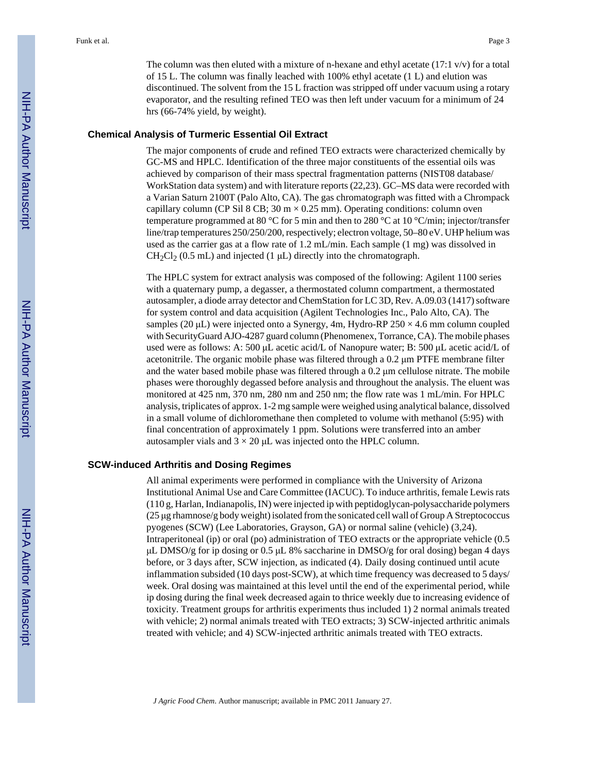The column was then eluted with a mixture of n-hexane and ethyl acetate  $(17:1 \text{ v/v})$  for a total of 15 L. The column was finally leached with 100% ethyl acetate (1 L) and elution was discontinued. The solvent from the 15 L fraction was stripped off under vacuum using a rotary evaporator, and the resulting refined TEO was then left under vacuum for a minimum of 24 hrs (66-74% yield, by weight).

#### **Chemical Analysis of Turmeric Essential Oil Extract**

The major components of **c**rude and refined TEO extracts were characterized chemically by GC-MS and HPLC. Identification of the three major constituents of the essential oils was achieved by comparison of their mass spectral fragmentation patterns (NIST08 database/ WorkStation data system) and with literature reports (22,23). GC–MS data were recorded with a Varian Saturn 2100T (Palo Alto, CA). The gas chromatograph was fitted with a Chrompack capillary column (CP Sil 8 CB;  $30 \text{ m} \times 0.25 \text{ mm}$ ). Operating conditions: column oven temperature programmed at 80 °C for 5 min and then to 280 °C at 10 °C/min; injector/transfer line/trap temperatures 250/250/200, respectively; electron voltage, 50–80 eV. UHP helium was used as the carrier gas at a flow rate of 1.2 mL/min. Each sample (1 mg) was dissolved in  $CH_2Cl_2$  (0.5 mL) and injected (1  $\mu$ L) directly into the chromatograph.

The HPLC system for extract analysis was composed of the following: Agilent 1100 series with a quaternary pump, a degasser, a thermostated column compartment, a thermostated autosampler, a diode array detector and ChemStation for LC 3D, Rev. A.09.03 (1417) software for system control and data acquisition (Agilent Technologies Inc., Palo Alto, CA). The samples (20  $\mu$ L) were injected onto a Synergy, 4m, Hydro-RP 250  $\times$  4.6 mm column coupled with SecurityGuard AJO-4287 guard column (Phenomenex, Torrance, CA). The mobile phases used were as follows: A: 500 μL acetic acid/L of Nanopure water; B: 500 μL acetic acid/L of acetonitrile. The organic mobile phase was filtered through a 0.2 μm PTFE membrane filter and the water based mobile phase was filtered through a 0.2 μm cellulose nitrate. The mobile phases were thoroughly degassed before analysis and throughout the analysis. The eluent was monitored at 425 nm, 370 nm, 280 nm and 250 nm; the flow rate was 1 mL/min. For HPLC analysis, triplicates of approx. 1-2 mg sample were weighed using analytical balance, dissolved in a small volume of dichloromethane then completed to volume with methanol (5:95) with final concentration of approximately 1 ppm. Solutions were transferred into an amber autosampler vials and  $3 \times 20$  µL was injected onto the HPLC column.

#### **SCW-induced Arthritis and Dosing Regimes**

All animal experiments were performed in compliance with the University of Arizona Institutional Animal Use and Care Committee (IACUC). To induce arthritis, female Lewis rats (110 g, Harlan, Indianapolis, IN) were injected ip with peptidoglycan-polysaccharide polymers (25 μg rhamnose/g body weight) isolated from the sonicated cell wall of Group A Streptococcus pyogenes (SCW) (Lee Laboratories, Grayson, GA) or normal saline (vehicle) (3,24). Intraperitoneal (ip) or oral (po) administration of TEO extracts or the appropriate vehicle (0.5 μL DMSO/g for ip dosing or 0.5 μL 8% saccharine in DMSO/g for oral dosing) began 4 days before, or 3 days after, SCW injection, as indicated (4). Daily dosing continued until acute inflammation subsided (10 days post-SCW), at which time frequency was decreased to 5 days/ week. Oral dosing was maintained at this level until the end of the experimental period, while ip dosing during the final week decreased again to thrice weekly due to increasing evidence of toxicity. Treatment groups for arthritis experiments thus included 1) 2 normal animals treated with vehicle; 2) normal animals treated with TEO extracts; 3) SCW-injected arthritic animals treated with vehicle; and 4) SCW-injected arthritic animals treated with TEO extracts.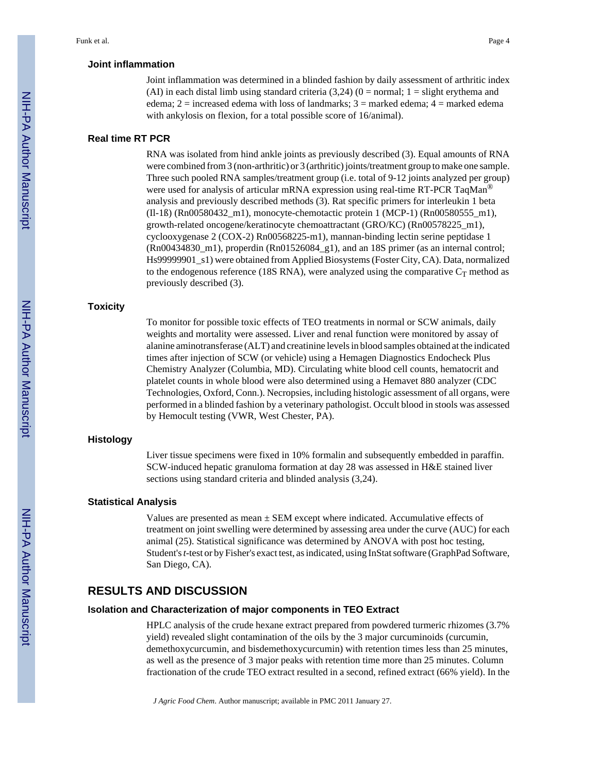#### **Joint inflammation**

Joint inflammation was determined in a blinded fashion by daily assessment of arthritic index (AI) in each distal limb using standard criteria  $(3,24)$   $(0 = normal; 1 = slight$  erythema and edema;  $2 =$  increased edema with loss of landmarks;  $3 =$  marked edema;  $4 =$  marked edema with ankylosis on flexion, for a total possible score of 16/animal).

#### **Real time RT PCR**

RNA was isolated from hind ankle joints as previously described (3). Equal amounts of RNA were combined from 3 (non-arthritic) or 3 (arthritic) joints/treatment group to make one sample. Three such pooled RNA samples/treatment group (i.e. total of 9-12 joints analyzed per group) were used for analysis of articular mRNA expression using real-time RT-PCR TaqMan<sup>®</sup> analysis and previously described methods (3). Rat specific primers for interleukin 1 beta (Il-1ß) (Rn00580432\_m1), monocyte-chemotactic protein 1 (MCP-1) (Rn00580555\_m1), growth-related oncogene/keratinocyte chemoattractant (GRO/KC) (Rn00578225\_m1), cyclooxygenase 2 (COX-2) Rn00568225-m1), mannan-binding lectin serine peptidase 1  $(Rn00434830$  m1), properdin  $(Rn01526084$  g1), and an 18S primer (as an internal control; Hs99999901\_s1) were obtained from Applied Biosystems (Foster City, CA). Data, normalized to the endogenous reference (18S RNA), were analyzed using the comparative  $C_T$  method as previously described (3).

#### **Toxicity**

To monitor for possible toxic effects of TEO treatments in normal or SCW animals, daily weights and mortality were assessed. Liver and renal function were monitored by assay of alanine aminotransferase (ALT) and creatinine levels in blood samples obtained at the indicated times after injection of SCW (or vehicle) using a Hemagen Diagnostics Endocheck Plus Chemistry Analyzer (Columbia, MD). Circulating white blood cell counts, hematocrit and platelet counts in whole blood were also determined using a Hemavet 880 analyzer (CDC Technologies, Oxford, Conn.). Necropsies, including histologic assessment of all organs, were performed in a blinded fashion by a veterinary pathologist. Occult blood in stools was assessed by Hemocult testing (VWR, West Chester, PA).

#### **Histology**

Liver tissue specimens were fixed in 10% formalin and subsequently embedded in paraffin. SCW-induced hepatic granuloma formation at day 28 was assessed in H&E stained liver sections using standard criteria and blinded analysis (3,24).

#### **Statistical Analysis**

Values are presented as mean  $\pm$  SEM except where indicated. Accumulative effects of treatment on joint swelling were determined by assessing area under the curve (AUC) for each animal (25). Statistical significance was determined by ANOVA with post hoc testing, Student's *t*-test or by Fisher's exact test, as indicated, using InStat software (GraphPad Software, San Diego, CA).

# **RESULTS AND DISCUSSION**

#### **Isolation and Characterization of major components in TEO Extract**

HPLC analysis of the crude hexane extract prepared from powdered turmeric rhizomes (3.7% yield) revealed slight contamination of the oils by the 3 major curcuminoids (curcumin, demethoxycurcumin, and bisdemethoxycurcumin) with retention times less than 25 minutes, as well as the presence of 3 major peaks with retention time more than 25 minutes. Column fractionation of the crude TEO extract resulted in a second, refined extract (66% yield). In the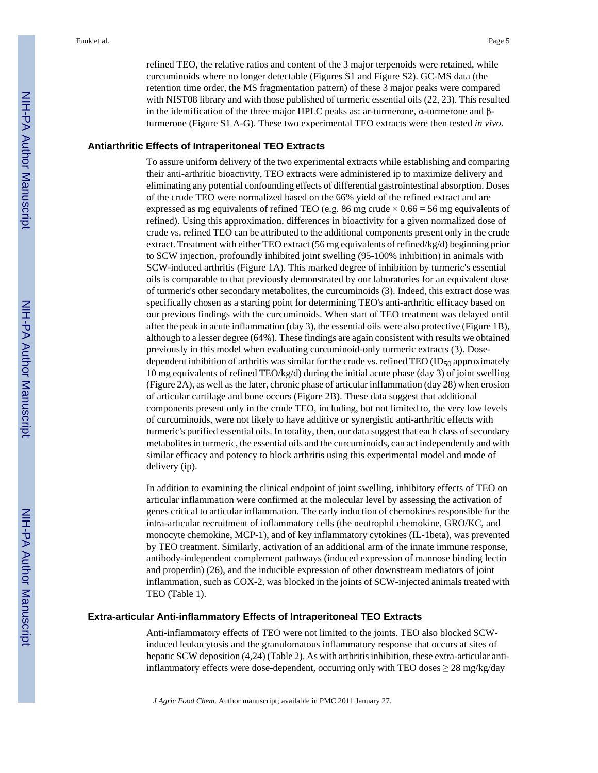refined TEO, the relative ratios and content of the 3 major terpenoids were retained, while curcuminoids where no longer detectable (Figures S1 and Figure S2). GC-MS data (the retention time order, the MS fragmentation pattern) of these 3 major peaks were compared with NIST08 library and with those published of turmeric essential oils (22, 23). This resulted in the identification of the three major HPLC peaks as: ar-turmerone, α-turmerone and βturmerone (Figure S1 A-G). These two experimental TEO extracts were then tested *in vivo*.

#### **Antiarthritic Effects of Intraperitoneal TEO Extracts**

To assure uniform delivery of the two experimental extracts while establishing and comparing their anti-arthritic bioactivity, TEO extracts were administered ip to maximize delivery and eliminating any potential confounding effects of differential gastrointestinal absorption. Doses of the crude TEO were normalized based on the 66% yield of the refined extract and are expressed as mg equivalents of refined TEO (e.g. 86 mg crude  $\times$  0.66 = 56 mg equivalents of refined). Using this approximation, differences in bioactivity for a given normalized dose of crude vs. refined TEO can be attributed to the additional components present only in the crude extract. Treatment with either TEO extract (56 mg equivalents of refined/kg/d) beginning prior to SCW injection, profoundly inhibited joint swelling (95-100% inhibition) in animals with SCW-induced arthritis (Figure 1A). This marked degree of inhibition by turmeric's essential oils is comparable to that previously demonstrated by our laboratories for an equivalent dose of turmeric's other secondary metabolites, the curcuminoids (3). Indeed, this extract dose was specifically chosen as a starting point for determining TEO's anti-arthritic efficacy based on our previous findings with the curcuminoids. When start of TEO treatment was delayed until after the peak in acute inflammation (day 3), the essential oils were also protective (Figure 1B), although to a lesser degree (64%). These findings are again consistent with results we obtained previously in this model when evaluating curcuminoid-only turmeric extracts (3). Dosedependent inhibition of arthritis was similar for the crude vs. refined TEO (ID $_{50}$  approximately 10 mg equivalents of refined TEO/kg/d) during the initial acute phase (day 3) of joint swelling (Figure 2A), as well as the later, chronic phase of articular inflammation (day 28) when erosion of articular cartilage and bone occurs (Figure 2B). These data suggest that additional components present only in the crude TEO, including, but not limited to, the very low levels of curcuminoids, were not likely to have additive or synergistic anti-arthritic effects with turmeric's purified essential oils. In totality, then, our data suggest that each class of secondary metabolites in turmeric, the essential oils and the curcuminoids, can act independently and with similar efficacy and potency to block arthritis using this experimental model and mode of delivery (ip).

In addition to examining the clinical endpoint of joint swelling, inhibitory effects of TEO on articular inflammation were confirmed at the molecular level by assessing the activation of genes critical to articular inflammation. The early induction of chemokines responsible for the intra-articular recruitment of inflammatory cells (the neutrophil chemokine, GRO/KC, and monocyte chemokine, MCP-1), and of key inflammatory cytokines (IL-1beta), was prevented by TEO treatment. Similarly, activation of an additional arm of the innate immune response, antibody-independent complement pathways (induced expression of mannose binding lectin and properdin) (26), and the inducible expression of other downstream mediators of joint inflammation, such as COX-2, was blocked in the joints of SCW-injected animals treated with TEO (Table 1).

#### **Extra-articular Anti-inflammatory Effects of Intraperitoneal TEO Extracts**

Anti-inflammatory effects of TEO were not limited to the joints. TEO also blocked SCWinduced leukocytosis and the granulomatous inflammatory response that occurs at sites of hepatic SCW deposition (4,24) (Table 2). As with arthritis inhibition, these extra-articular antiinflammatory effects were dose-dependent, occurring only with TEO doses  $\geq 28$  mg/kg/day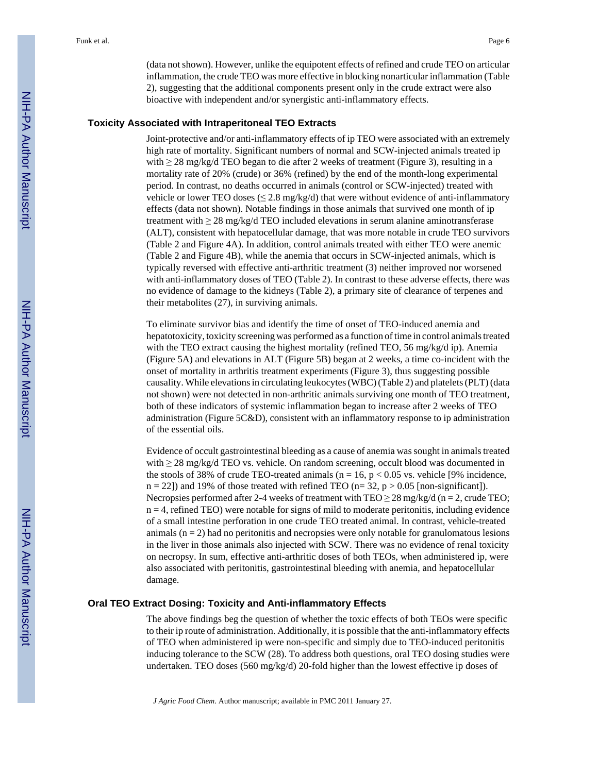(data not shown). However, unlike the equipotent effects of refined and crude TEO on articular inflammation, the crude TEO was more effective in blocking nonarticular inflammation (Table 2), suggesting that the additional components present only in the crude extract were also bioactive with independent and/or synergistic anti-inflammatory effects.

#### **Toxicity Associated with Intraperitoneal TEO Extracts**

Joint-protective and/or anti-inflammatory effects of ip TEO were associated with an extremely high rate of mortality. Significant numbers of normal and SCW-injected animals treated ip with  $\geq 28$  mg/kg/d TEO began to die after 2 weeks of treatment (Figure 3), resulting in a mortality rate of 20% (crude) or 36% (refined) by the end of the month-long experimental period. In contrast, no deaths occurred in animals (control or SCW-injected) treated with vehicle or lower TEO doses ( $\leq$  2.8 mg/kg/d) that were without evidence of anti-inflammatory effects (data not shown). Notable findings in those animals that survived one month of ip treatment with ≥ 28 mg/kg/d TEO included elevations in serum alanine aminotransferase (ALT), consistent with hepatocellular damage, that was more notable in crude TEO survivors (Table 2 and Figure 4A). In addition, control animals treated with either TEO were anemic (Table 2 and Figure 4B), while the anemia that occurs in SCW-injected animals, which is typically reversed with effective anti-arthritic treatment (3) neither improved nor worsened with anti-inflammatory doses of TEO (Table 2). In contrast to these adverse effects, there was no evidence of damage to the kidneys (Table 2), a primary site of clearance of terpenes and their metabolites (27), in surviving animals.

To eliminate survivor bias and identify the time of onset of TEO-induced anemia and hepatotoxicity, toxicity screening was performed as a function of time in control animals treated with the TEO extract causing the highest mortality (refined TEO, 56 mg/kg/d ip). Anemia (Figure 5A) and elevations in ALT (Figure 5B) began at 2 weeks, a time co-incident with the onset of mortality in arthritis treatment experiments (Figure 3), thus suggesting possible causality. While elevations in circulating leukocytes (WBC) (Table 2) and platelets (PLT) (data not shown) were not detected in non-arthritic animals surviving one month of TEO treatment, both of these indicators of systemic inflammation began to increase after 2 weeks of TEO administration (Figure 5C&D), consistent with an inflammatory response to ip administration of the essential oils.

Evidence of occult gastrointestinal bleeding as a cause of anemia was sought in animals treated with  $\geq 28$  mg/kg/d TEO vs. vehicle. On random screening, occult blood was documented in the stools of 38% of crude TEO-treated animals ( $n = 16$ ,  $p < 0.05$  vs. vehicle [9% incidence,  $n = 22$ ) and 19% of those treated with refined TEO ( $n = 32$ ,  $p > 0.05$  [non-significant]). Necropsies performed after 2-4 weeks of treatment with  $TEO \ge 28$  mg/kg/d (n = 2, crude TEO;  $n = 4$ , refined TEO) were notable for signs of mild to moderate peritonitis, including evidence of a small intestine perforation in one crude TEO treated animal. In contrast, vehicle-treated animals  $(n = 2)$  had no peritonitis and necropsies were only notable for granulomatous lesions in the liver in those animals also injected with SCW. There was no evidence of renal toxicity on necropsy. In sum, effective anti-arthritic doses of both TEOs, when administered ip, were also associated with peritonitis, gastrointestinal bleeding with anemia, and hepatocellular damage.

#### **Oral TEO Extract Dosing: Toxicity and Anti-inflammatory Effects**

The above findings beg the question of whether the toxic effects of both TEOs were specific to their ip route of administration. Additionally, it is possible that the anti-inflammatory effects of TEO when administered ip were non-specific and simply due to TEO-induced peritonitis inducing tolerance to the SCW (28). To address both questions, oral TEO dosing studies were undertaken. TEO doses (560 mg/kg/d) 20-fold higher than the lowest effective ip doses of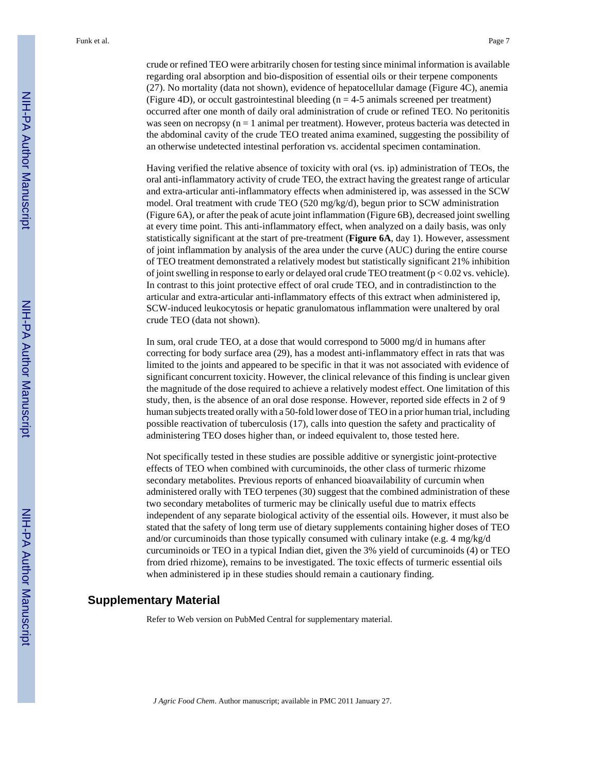crude or refined TEO were arbitrarily chosen for testing since minimal information is available regarding oral absorption and bio-disposition of essential oils or their terpene components (27). No mortality (data not shown), evidence of hepatocellular damage (Figure 4C), anemia (Figure 4D), or occult gastrointestinal bleeding  $(n = 4-5)$  animals screened per treatment) occurred after one month of daily oral administration of crude or refined TEO. No peritonitis was seen on necropsy  $(n = 1 \text{ animal per treatment})$ . However, proteus bacteria was detected in the abdominal cavity of the crude TEO treated anima examined, suggesting the possibility of an otherwise undetected intestinal perforation vs. accidental specimen contamination.

Having verified the relative absence of toxicity with oral (vs. ip) administration of TEOs, the oral anti-inflammatory activity of crude TEO, the extract having the greatest range of articular and extra-articular anti-inflammatory effects when administered ip, was assessed in the SCW model. Oral treatment with crude TEO (520 mg/kg/d), begun prior to SCW administration (Figure 6A), or after the peak of acute joint inflammation (Figure 6B), decreased joint swelling at every time point. This anti-inflammatory effect, when analyzed on a daily basis, was only statistically significant at the start of pre-treatment (**Figure 6A**, day 1). However, assessment of joint inflammation by analysis of the area under the curve (AUC) during the entire course of TEO treatment demonstrated a relatively modest but statistically significant 21% inhibition of joint swelling in response to early or delayed oral crude TEO treatment  $(p < 0.02$  vs. vehicle). In contrast to this joint protective effect of oral crude TEO, and in contradistinction to the articular and extra-articular anti-inflammatory effects of this extract when administered ip, SCW-induced leukocytosis or hepatic granulomatous inflammation were unaltered by oral crude TEO (data not shown).

In sum, oral crude TEO, at a dose that would correspond to 5000 mg/d in humans after correcting for body surface area (29), has a modest anti-inflammatory effect in rats that was limited to the joints and appeared to be specific in that it was not associated with evidence of significant concurrent toxicity. However, the clinical relevance of this finding is unclear given the magnitude of the dose required to achieve a relatively modest effect. One limitation of this study, then, is the absence of an oral dose response. However, reported side effects in 2 of 9 human subjects treated orally with a 50-fold lower dose of TEO in a prior human trial, including possible reactivation of tuberculosis (17), calls into question the safety and practicality of administering TEO doses higher than, or indeed equivalent to, those tested here.

Not specifically tested in these studies are possible additive or synergistic joint-protective effects of TEO when combined with curcuminoids, the other class of turmeric rhizome secondary metabolites. Previous reports of enhanced bioavailability of curcumin when administered orally with TEO terpenes (30) suggest that the combined administration of these two secondary metabolites of turmeric may be clinically useful due to matrix effects independent of any separate biological activity of the essential oils. However, it must also be stated that the safety of long term use of dietary supplements containing higher doses of TEO and/or curcuminoids than those typically consumed with culinary intake (e.g. 4 mg/kg/d curcuminoids or TEO in a typical Indian diet, given the 3% yield of curcuminoids (4) or TEO from dried rhizome), remains to be investigated. The toxic effects of turmeric essential oils when administered ip in these studies should remain a cautionary finding.

# **Supplementary Material**

Refer to Web version on PubMed Central for supplementary material.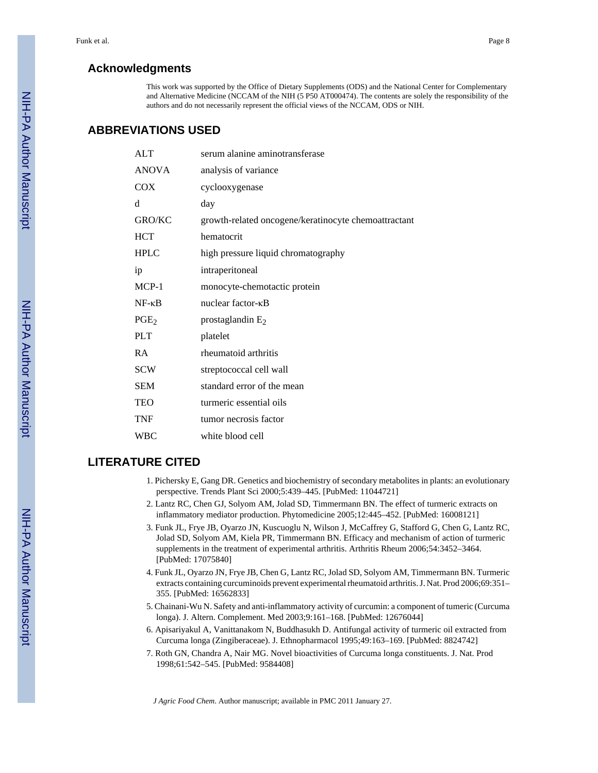# **Acknowledgments**

This work was supported by the Office of Dietary Supplements (ODS) and the National Center for Complementary and Alternative Medicine (NCCAM of the NIH (5 P50 AT000474). The contents are solely the responsibility of the authors and do not necessarily represent the official views of the NCCAM, ODS or NIH.

# **ABBREVIATIONS USED**

| <b>ALT</b>       | serum alanine aminotransferase                       |
|------------------|------------------------------------------------------|
| <b>ANOVA</b>     | analysis of variance                                 |
| <b>COX</b>       | cyclooxygenase                                       |
| d                | day                                                  |
| <b>GRO/KC</b>    | growth-related oncogene/keratinocyte chemoattractant |
| <b>HCT</b>       | hematocrit                                           |
| <b>HPLC</b>      | high pressure liquid chromatography                  |
| ip               | intraperitoneal                                      |
| $MCP-1$          | monocyte-chemotactic protein                         |
| $NF - \kappa B$  | nuclear factor-KB                                    |
| PGE <sub>2</sub> | prostaglandin $E_2$                                  |
| <b>PLT</b>       | platelet                                             |
| <b>RA</b>        | rheumatoid arthritis                                 |
| <b>SCW</b>       | streptococcal cell wall                              |
| <b>SEM</b>       | standard error of the mean                           |
| TEO              | turmeric essential oils                              |
| <b>TNF</b>       | tumor necrosis factor                                |
| <b>WBC</b>       | white blood cell                                     |

# **LITERATURE CITED**

- 1. Pichersky E, Gang DR. Genetics and biochemistry of secondary metabolites in plants: an evolutionary perspective. Trends Plant Sci 2000;5:439–445. [PubMed: 11044721]
- 2. Lantz RC, Chen GJ, Solyom AM, Jolad SD, Timmermann BN. The effect of turmeric extracts on inflammatory mediator production. Phytomedicine 2005;12:445–452. [PubMed: 16008121]
- 3. Funk JL, Frye JB, Oyarzo JN, Kuscuoglu N, Wilson J, McCaffrey G, Stafford G, Chen G, Lantz RC, Jolad SD, Solyom AM, Kiela PR, Timmermann BN. Efficacy and mechanism of action of turmeric supplements in the treatment of experimental arthritis. Arthritis Rheum 2006;54:3452–3464. [PubMed: 17075840]
- 4. Funk JL, Oyarzo JN, Frye JB, Chen G, Lantz RC, Jolad SD, Solyom AM, Timmermann BN. Turmeric extracts containing curcuminoids prevent experimental rheumatoid arthritis. J. Nat. Prod 2006;69:351– 355. [PubMed: 16562833]
- 5. Chainani-Wu N. Safety and anti-inflammatory activity of curcumin: a component of tumeric (Curcuma longa). J. Altern. Complement. Med 2003;9:161–168. [PubMed: 12676044]
- 6. Apisariyakul A, Vanittanakom N, Buddhasukh D. Antifungal activity of turmeric oil extracted from Curcuma longa (Zingiberaceae). J. Ethnopharmacol 1995;49:163–169. [PubMed: 8824742]
- 7. Roth GN, Chandra A, Nair MG. Novel bioactivities of Curcuma longa constituents. J. Nat. Prod 1998;61:542–545. [PubMed: 9584408]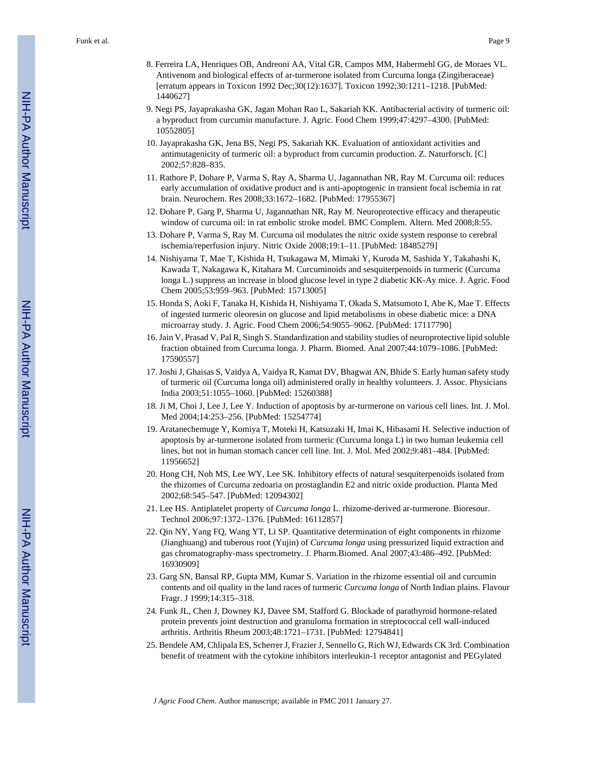- 8. Ferreira LA, Henriques OB, Andreoni AA, Vital GR, Campos MM, Habermehl GG, de Moraes VL. Antivenom and biological effects of ar-turmerone isolated from Curcuma longa (Zingiberaceae) [erratum appears in Toxicon 1992 Dec;30(12):1637]. Toxicon 1992;30:1211–1218. [PubMed: 1440627]
- 9. Negi PS, Jayaprakasha GK, Jagan Mohan Rao L, Sakariah KK. Antibacterial activity of turmeric oil: a byproduct from curcumin manufacture. J. Agric. Food Chem 1999;47:4297–4300. [PubMed: 10552805]
- 10. Jayaprakasha GK, Jena BS, Negi PS, Sakariah KK. Evaluation of antioxidant activities and antimutagenicity of turmeric oil: a byproduct from curcumin production. Z. Naturforsch. [C] 2002;57:828–835.
- 11. Rathore P, Dohare P, Varma S, Ray A, Sharma U, Jagannathan NR, Ray M. Curcuma oil: reduces early accumulation of oxidative product and is anti-apoptogenic in transient focal ischemia in rat brain. Neurochem. Res 2008;33:1672–1682. [PubMed: 17955367]
- 12. Dohare P, Garg P, Sharma U, Jagannathan NR, Ray M. Neuroprotective efficacy and therapeutic window of curcuma oil: in rat embolic stroke model. BMC Complem. Altern. Med 2008;8:55.
- 13. Dohare P, Varma S, Ray M. Curcuma oil modulates the nitric oxide system response to cerebral ischemia/reperfusion injury. Nitric Oxide 2008;19:1–11. [PubMed: 18485279]
- 14. Nishiyama T, Mae T, Kishida H, Tsukagawa M, Mimaki Y, Kuroda M, Sashida Y, Takahashi K, Kawada T, Nakagawa K, Kitahara M. Curcuminoids and sesquiterpenoids in turmeric (Curcuma longa L.) suppress an increase in blood glucose level in type 2 diabetic KK-Ay mice. J. Agric. Food Chem 2005;53:959–963. [PubMed: 15713005]
- 15. Honda S, Aoki F, Tanaka H, Kishida H, Nishiyama T, Okada S, Matsumoto I, Abe K, Mae T. Effects of ingested turmeric oleoresin on glucose and lipid metabolisms in obese diabetic mice: a DNA microarray study. J. Agric. Food Chem 2006;54:9055–9062. [PubMed: 17117790]
- 16. Jain V, Prasad V, Pal R, Singh S. Standardization and stability studies of neuroprotective lipid soluble fraction obtained from Curcuma longa. J. Pharm. Biomed. Anal 2007;44:1079–1086. [PubMed: 17590557]
- 17. Joshi J, Ghaisas S, Vaidya A, Vaidya R, Kamat DV, Bhagwat AN, Bhide S. Early human safety study of turmeric oil (Curcuma longa oil) administered orally in healthy volunteers. J. Assoc. Physicians India 2003;51:1055–1060. [PubMed: 15260388]
- 18. Ji M, Choi J, Lee J, Lee Y. Induction of apoptosis by ar-turmerone on various cell lines. Int. J. Mol. Med 2004;14:253–256. [PubMed: 15254774]
- 19. Aratanechemuge Y, Komiya T, Moteki H, Katsuzaki H, Imai K, Hibasami H. Selective induction of apoptosis by ar-turmerone isolated from turmeric (Curcuma longa L) in two human leukemia cell lines, but not in human stomach cancer cell line. Int. J. Mol. Med 2002;9:481–484. [PubMed: 11956652]
- 20. Hong CH, Noh MS, Lee WY, Lee SK. Inhibitory effects of natural sesquiterpenoids isolated from the rhizomes of Curcuma zedoaria on prostaglandin E2 and nitric oxide production. Planta Med 2002;68:545–547. [PubMed: 12094302]
- 21. Lee HS. Antiplatelet property of *Curcuma longa* L. rhizome-derived ar-turmerone. Bioresour. Technol 2006;97:1372–1376. [PubMed: 16112857]
- 22. Qin NY, Yang FQ, Wang YT, Li SP. Quantitative determination of eight components in rhizome (Jianghuang) and tuberous root (Yujin) of *Curcuma longa* using pressurized liquid extraction and gas chromatography-mass spectrometry. J. Pharm.Biomed. Anal 2007;43:486–492. [PubMed: 16930909]
- 23. Garg SN, Bansal RP, Gupta MM, Kumar S. Variation in the rhizome essential oil and curcumin contents and oil quality in the land races of turmeric *Curcuma longa* of North Indian plains. Flavour Fragr. J 1999;14:315–318.
- 24. Funk JL, Chen J, Downey KJ, Davee SM, Stafford G. Blockade of parathyroid hormone-related protein prevents joint destruction and granuloma formation in streptococcal cell wall-induced arthritis. Arthritis Rheum 2003;48:1721–1731. [PubMed: 12794841]
- 25. Bendele AM, Chlipala ES, Scherrer J, Frazier J, Sennello G, Rich WJ, Edwards CK 3rd. Combination benefit of treatment with the cytokine inhibitors interleukin-1 receptor antagonist and PEGylated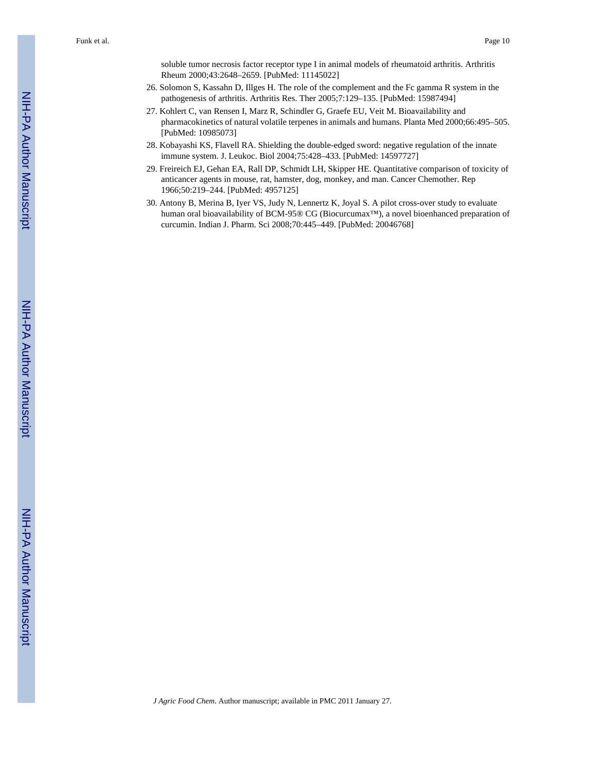soluble tumor necrosis factor receptor type I in animal models of rheumatoid arthritis. Arthritis Rheum 2000;43:2648–2659. [PubMed: 11145022]

- 26. Solomon S, Kassahn D, Illges H. The role of the complement and the Fc gamma R system in the pathogenesis of arthritis. Arthritis Res. Ther 2005;7:129–135. [PubMed: 15987494]
- 27. Kohlert C, van Rensen I, Marz R, Schindler G, Graefe EU, Veit M. Bioavailability and pharmacokinetics of natural volatile terpenes in animals and humans. Planta Med 2000;66:495–505. [PubMed: 10985073]
- 28. Kobayashi KS, Flavell RA. Shielding the double-edged sword: negative regulation of the innate immune system. J. Leukoc. Biol 2004;75:428–433. [PubMed: 14597727]
- 29. Freireich EJ, Gehan EA, Rall DP, Schmidt LH, Skipper HE. Quantitative comparison of toxicity of anticancer agents in mouse, rat, hamster, dog, monkey, and man. Cancer Chemother. Rep 1966;50:219–244. [PubMed: 4957125]
- 30. Antony B, Merina B, Iyer VS, Judy N, Lennertz K, Joyal S. A pilot cross-over study to evaluate human oral bioavailability of BCM-95® CG (Biocurcumax™), a novel bioenhanced preparation of curcumin. Indian J. Pharm. Sci 2008;70:445–449. [PubMed: 20046768]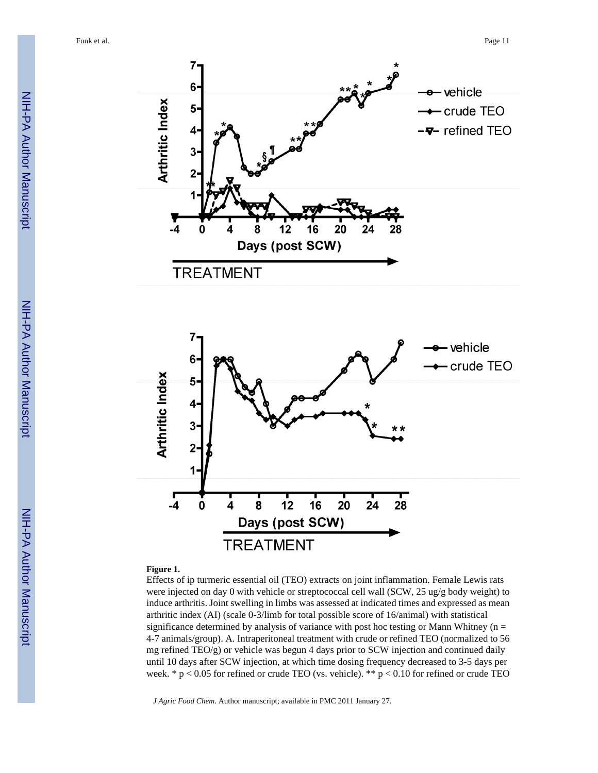Funk et al. Page 11





#### **Figure 1.**

Effects of ip turmeric essential oil (TEO) extracts on joint inflammation. Female Lewis rats were injected on day 0 with vehicle or streptococcal cell wall (SCW, 25 ug/g body weight) to induce arthritis. Joint swelling in limbs was assessed at indicated times and expressed as mean arthritic index (AI) (scale 0-3/limb for total possible score of 16/animal) with statistical significance determined by analysis of variance with post hoc testing or Mann Whitney ( $n =$ 4-7 animals/group). A. Intraperitoneal treatment with crude or refined TEO (normalized to 56 mg refined TEO/g) or vehicle was begun 4 days prior to SCW injection and continued daily until 10 days after SCW injection, at which time dosing frequency decreased to 3-5 days per week. \*  $p < 0.05$  for refined or crude TEO (vs. vehicle). \*\*  $p < 0.10$  for refined or crude TEO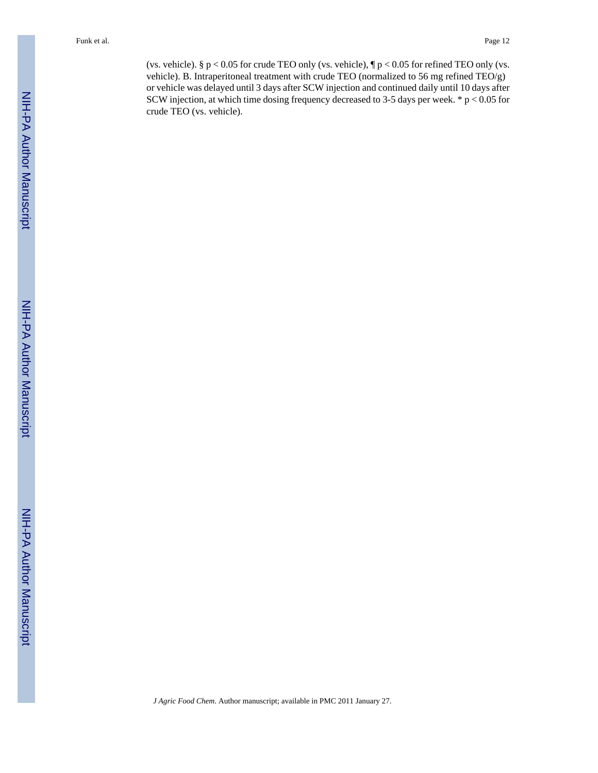(vs. vehicle). §  $p < 0.05$  for crude TEO only (vs. vehicle),  $\eta p < 0.05$  for refined TEO only (vs. vehicle). B. Intraperitoneal treatment with crude TEO (normalized to 56 mg refined TEO/g) or vehicle was delayed until 3 days after SCW injection and continued daily until 10 days after SCW injection, at which time dosing frequency decreased to 3-5 days per week. \* p < 0.05 for crude TEO (vs. vehicle).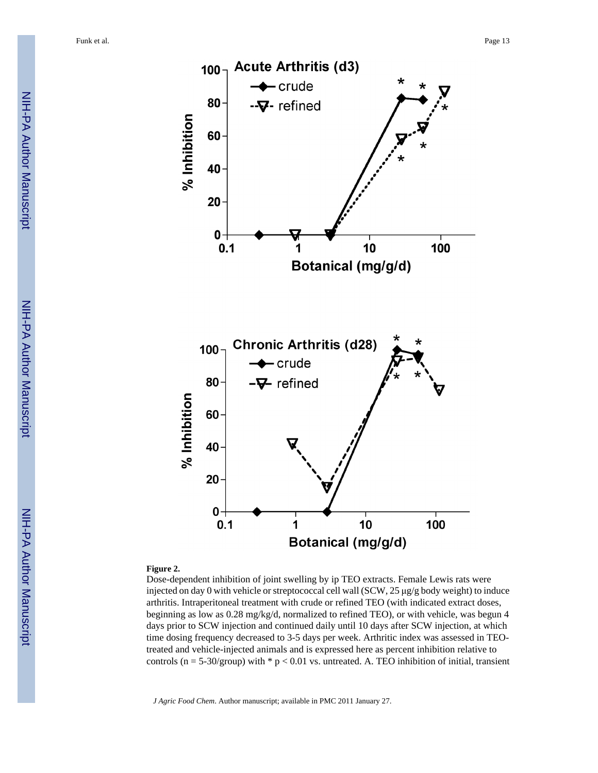

#### **Figure 2.**

Dose-dependent inhibition of joint swelling by ip TEO extracts. Female Lewis rats were injected on day 0 with vehicle or streptococcal cell wall (SCW, 25 μg/g body weight) to induce arthritis. Intraperitoneal treatment with crude or refined TEO (with indicated extract doses, beginning as low as 0.28 mg/kg/d, normalized to refined TEO), or with vehicle, was begun 4 days prior to SCW injection and continued daily until 10 days after SCW injection, at which time dosing frequency decreased to 3-5 days per week. Arthritic index was assessed in TEOtreated and vehicle-injected animals and is expressed here as percent inhibition relative to controls (n = 5-30/group) with  $*$  p < 0.01 vs. untreated. A. TEO inhibition of initial, transient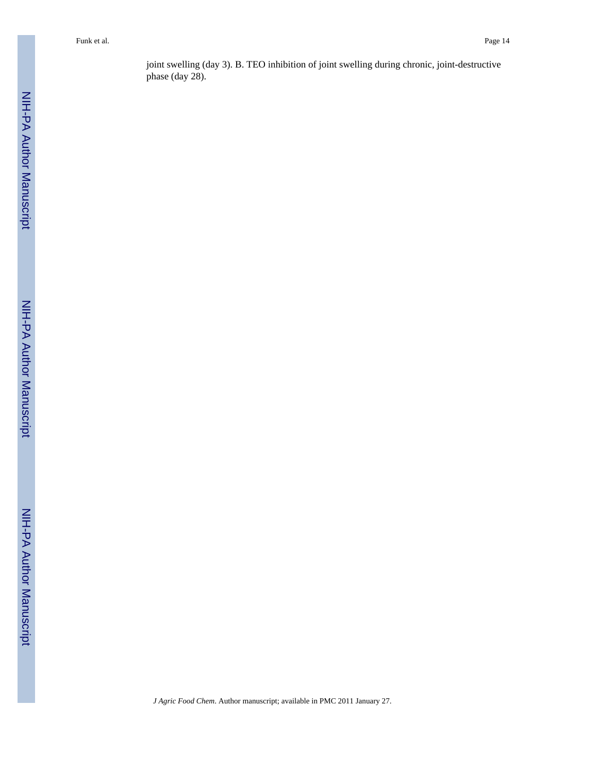joint swelling (day 3). B. TEO inhibition of joint swelling during chronic, joint-destructive phase (day 28).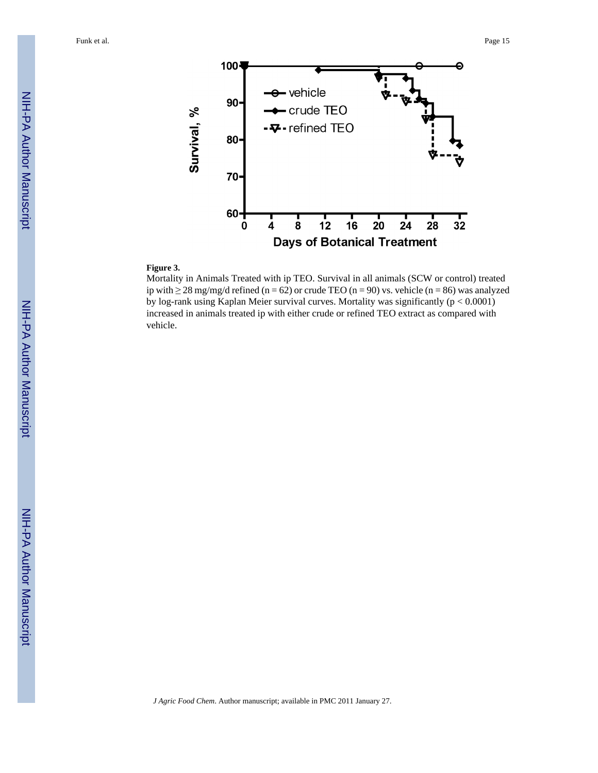Funk et al. Page 15



#### **Figure 3.**

Mortality in Animals Treated with ip TEO. Survival in all animals (SCW or control) treated ip with ≥ 28 mg/mg/d refined (n = 62) or crude TEO (n = 90) vs. vehicle (n = 86) was analyzed by log-rank using Kaplan Meier survival curves. Mortality was significantly (p < 0.0001) increased in animals treated ip with either crude or refined TEO extract as compared with vehicle.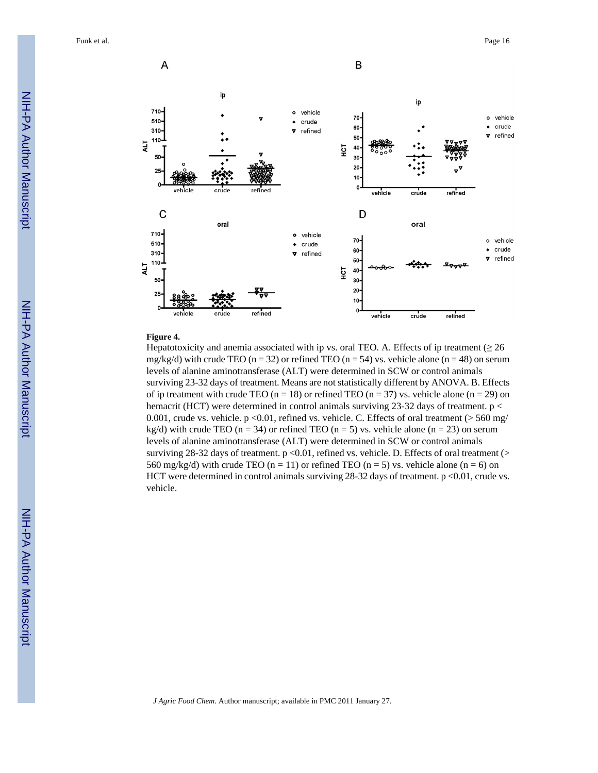

#### **Figure 4.**

Hepatotoxicity and anemia associated with ip vs. oral TEO. A. Effects of ip treatment ( $\geq 26$ mg/kg/d) with crude TEO (n = 32) or refined TEO (n = 54) vs. vehicle alone (n = 48) on serum levels of alanine aminotransferase (ALT) were determined in SCW or control animals surviving 23-32 days of treatment. Means are not statistically different by ANOVA. B. Effects of ip treatment with crude TEO ( $n = 18$ ) or refined TEO ( $n = 37$ ) vs. vehicle alone ( $n = 29$ ) on hemacrit (HCT) were determined in control animals surviving 23-32 days of treatment. p < 0.001, crude vs. vehicle.  $p \le 0.01$ , refined vs. vehicle. C. Effects of oral treatment (> 560 mg/ kg/d) with crude TEO (n = 34) or refined TEO (n = 5) vs. vehicle alone (n = 23) on serum levels of alanine aminotransferase (ALT) were determined in SCW or control animals surviving 28-32 days of treatment.  $p \le 0.01$ , refined vs. vehicle. D. Effects of oral treatment ( $>$ 560 mg/kg/d) with crude TEO (n = 11) or refined TEO (n = 5) vs. vehicle alone (n = 6) on HCT were determined in control animals surviving  $28-32$  days of treatment. p <0.01, crude vs. vehicle.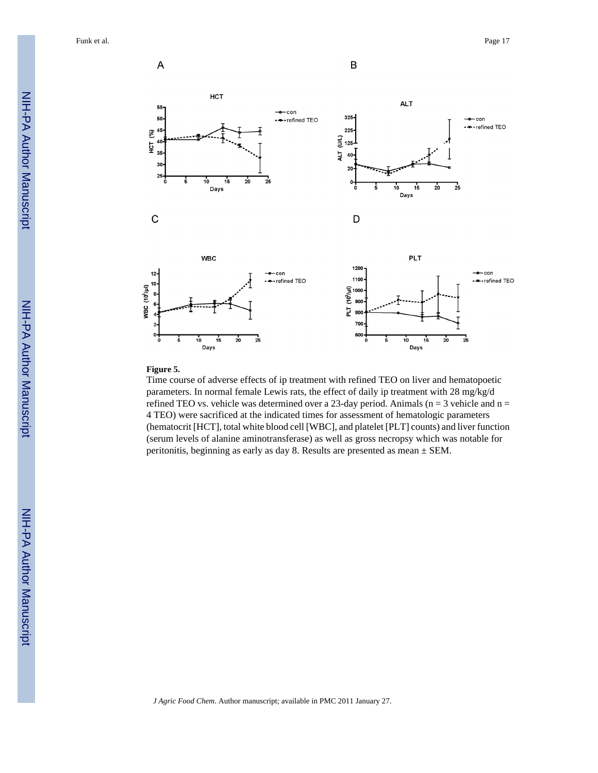

#### **Figure 5.**

Time course of adverse effects of ip treatment with refined TEO on liver and hematopoetic parameters. In normal female Lewis rats, the effect of daily ip treatment with 28 mg/kg/d refined TEO vs. vehicle was determined over a 23-day period. Animals ( $n = 3$  vehicle and  $n =$ 4 TEO) were sacrificed at the indicated times for assessment of hematologic parameters (hematocrit [HCT], total white blood cell [WBC], and platelet [PLT] counts) and liver function (serum levels of alanine aminotransferase) as well as gross necropsy which was notable for peritonitis, beginning as early as day 8. Results are presented as mean ± SEM.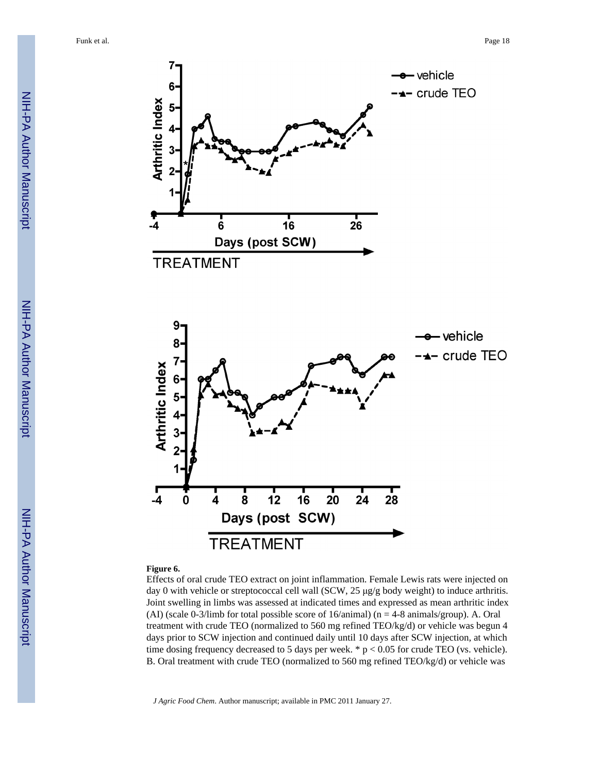

#### **Figure 6.**

Effects of oral crude TEO extract on joint inflammation. Female Lewis rats were injected on day 0 with vehicle or streptococcal cell wall (SCW, 25 μg/g body weight) to induce arthritis. Joint swelling in limbs was assessed at indicated times and expressed as mean arthritic index (AI) (scale 0-3/limb for total possible score of  $16$ /animal) (n = 4-8 animals/group). A. Oral treatment with crude TEO (normalized to 560 mg refined TEO/kg/d) or vehicle was begun 4 days prior to SCW injection and continued daily until 10 days after SCW injection, at which time dosing frequency decreased to 5 days per week.  $* p < 0.05$  for crude TEO (vs. vehicle). B. Oral treatment with crude TEO (normalized to 560 mg refined TEO/kg/d) or vehicle was

*J Agric Food Chem*. Author manuscript; available in PMC 2011 January 27.

**TREATMENT**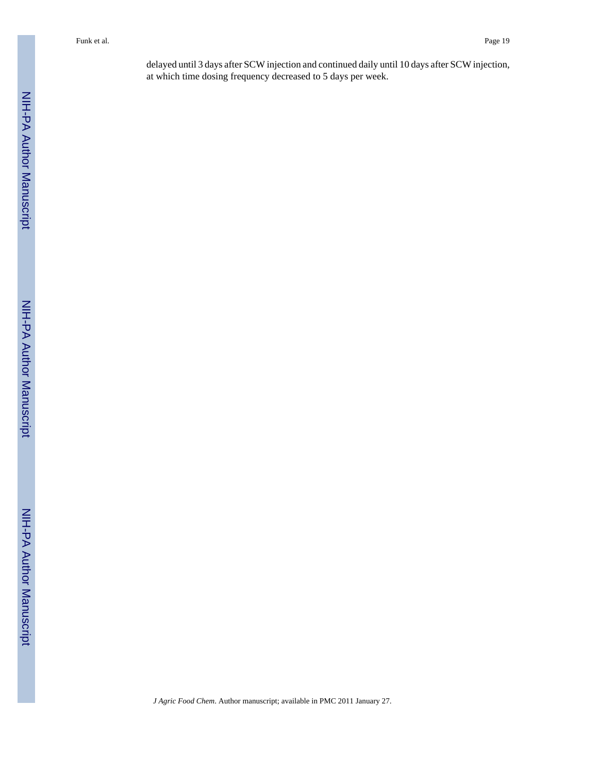delayed until 3 days after SCW injection and continued daily until 10 days after SCW injection, at which time dosing frequency decreased to 5 days per week.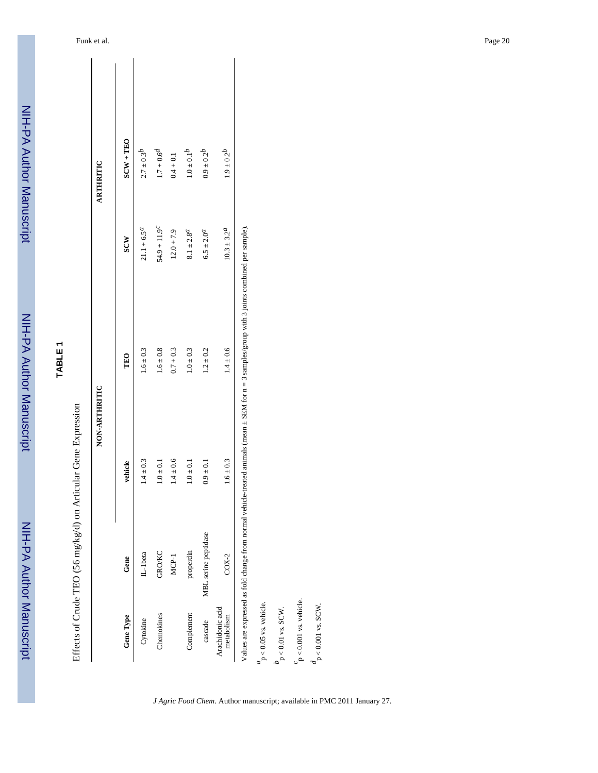|                                       |                      | NON-ARTHRITIC |                                                                                                                                                       |                               | ARTHRITIC         |
|---------------------------------------|----------------------|---------------|-------------------------------------------------------------------------------------------------------------------------------------------------------|-------------------------------|-------------------|
| Gene Type                             | Gene                 | vehicle       | TEO                                                                                                                                                   | SCW                           | $SCW + TEO$       |
| Cytokine                              | IL-1beta             | $1.4 \pm 0.3$ | $1.6 \pm 0.3$                                                                                                                                         | $21.1 + 6.5^a$                | $2.7\pm0.3^{b}$   |
| Chemokines                            | <b>GRO/KC</b>        | $1.0\pm0.1$   | $1.6\pm0.8$                                                                                                                                           | $54.9 + 11.9^{c}$             | $1.7 + 0.6^{d}$   |
|                                       | $MCP-1$              | $1.4 \pm 0.6$ | $0.7 + 0.3$                                                                                                                                           | $12.0 + 7.9$                  | $0.4 + 0.1$       |
| Complement                            | properdin            | $1.0 \pm 0.1$ | $1.0 \pm 0.3$                                                                                                                                         | $8.1 \pm 2.8^{d}$             | $1.0\pm0.1^b$     |
| cascade                               | MBL serine peptidase | $0.9 \pm 0.1$ | $1.2 \pm 0.2$                                                                                                                                         | $6.5 \pm 2.0^{d}$             | $0.9\pm0.2^b$     |
| Arachidonic acid<br>metabolism        | $COX-2$              | $1.6 \pm 0.3$ | $1.4 \pm 0.6$                                                                                                                                         | $10.3 \pm 3.2^{\prime\prime}$ | $1.9 \pm 0.2^{b}$ |
|                                       |                      |               | Values are expressed as fold change from normal vehicle-treated animals (mean $\pm$ SEM for $n = 3$ samples/group with 3 joints combined per sample). |                               |                   |
| $\frac{a}{p}$ < 0.05 vs. vehicle.     |                      |               |                                                                                                                                                       |                               |                   |
| $b_{\text{p}<0.01 \text{ vs. SCW}}$ . |                      |               |                                                                                                                                                       |                               |                   |

*J Agric Food Chem*. Author manuscript; available in PMC 2011 January 27.

 $c_p < 0.001$  vs. vehicle.  $\frac{d}{p}$  < 0.001 vs. SCW.

 $_{\text{P}}^{\text{c}}$  < 0.001 vs. vehicle.  $d_{p < 0.001 \text{ vs. SCW}}$ .

NIH-PA Author Manuscript

NIH-PA Author Manuscript

NIH-PA Author Manuscript

NIH-PA Author Manuscript

**TABLE 1**

NIH-PA Author Manuscript

NIH-PA Author Manuscript